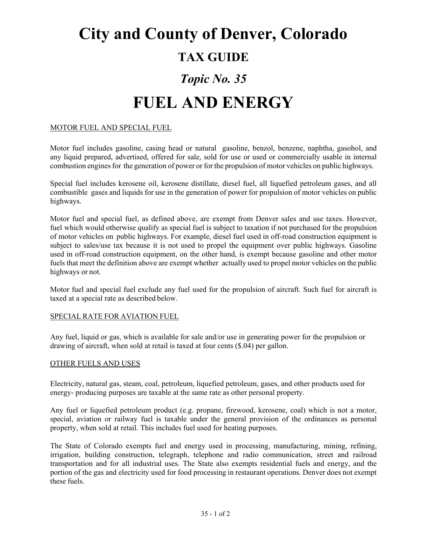# **City and County of Denver, Colorado**

### **TAX GUIDE**

## *Topic No. 35*

## **FUEL AND ENERGY**

#### MOTOR FUEL AND SPECIAL FUEL

Motor fuel includes gasoline, casing head or natural gasoline, benzol, benzene, naphtha, gasohol, and any liquid prepared, advertised, offered for sale, sold for use or used or commercially usable in internal combustion engines for the generation of power or for the propulsion of motor vehicles on public highways.

Special fuel includes kerosene oil, kerosene distillate, diesel fuel, all liquefied petroleum gases, and all combustible gases and liquids for use in the generation of power for propulsion of motor vehicles on public highways.

Motor fuel and special fuel, as defined above, are exempt from Denver sales and use taxes. However, fuel which would otherwise qualify as special fuel is subject to taxation if not purchased for the propulsion of motor vehicles on public highways. For example, diesel fuel used in off-road construction equipment is subject to sales/use tax because it is not used to propel the equipment over public highways. Gasoline used in off-road construction equipment, on the other hand, is exempt because gasoline and other motor fuels that meet the definition above are exempt whether actually used to propel motor vehicles on the public highways or not.

Motor fuel and special fuel exclude any fuel used for the propulsion of aircraft. Such fuel for aircraft is taxed at a special rate as described below.

#### SPECIAL RATE FOR AVIATION FUEL

Any fuel, liquid or gas, which is available for sale and/or use in generating power for the propulsion or drawing of aircraft, when sold at retail is taxed at four cents (\$.04) per gallon.

#### OTHER FUELS AND USES

Electricity, natural gas, steam, coal, petroleum, liquefied petroleum, gases, and other products used for energy- producing purposes are taxable at the same rate as other personal property.

Any fuel or liquefied petroleum product (e.g. propane, firewood, kerosene, coal) which is not a motor, special, aviation or railway fuel is taxable under the general provision of the ordinances as personal property, when sold at retail. This includes fuel used for heating purposes.

The State of Colorado exempts fuel and energy used in processing, manufacturing, mining, refining, irrigation, building construction, telegraph, telephone and radio communication, street and railroad transportation and for all industrial uses. The State also exempts residential fuels and energy, and the portion of the gas and electricity used for food processing in restaurant operations. Denver does not exempt these fuels.